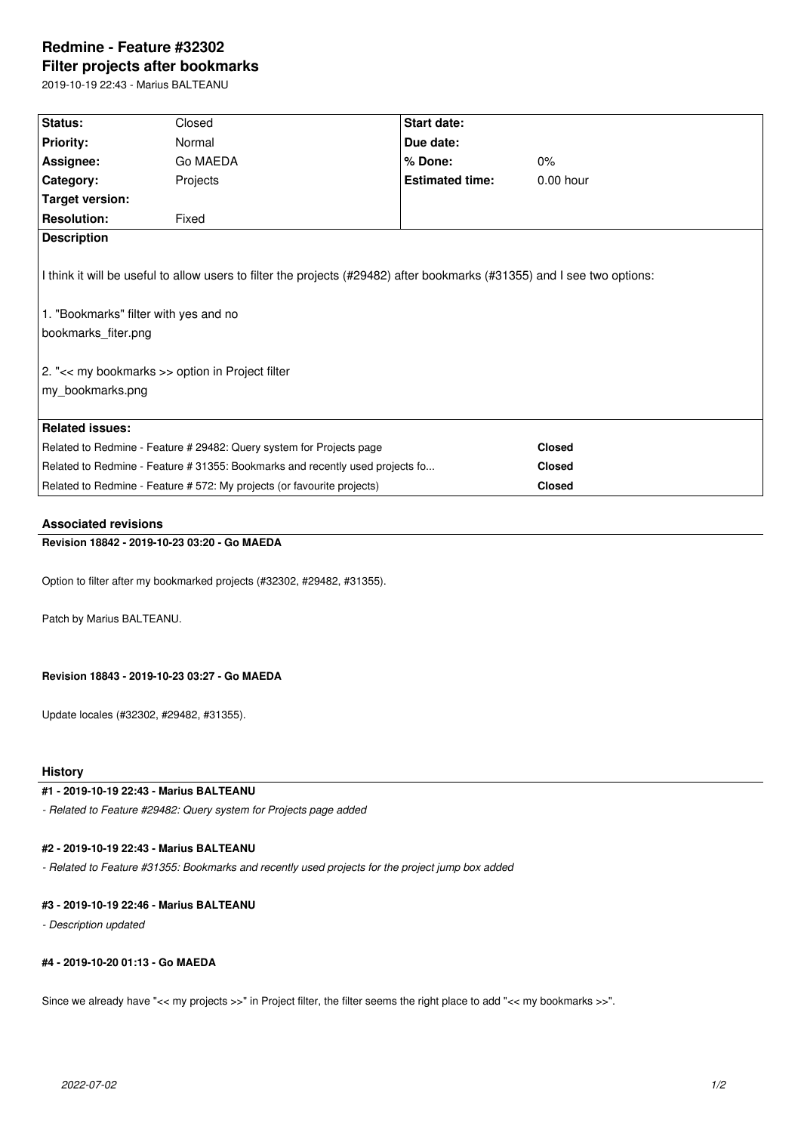# **Redmine - Feature #32302 Filter projects after bookmarks**

2019-10-19 22:43 - Marius BALTEANU

| Status:                                                                                                                                                                                                                                                         | Closed                                                                  | Start date:            |               |  |  |
|-----------------------------------------------------------------------------------------------------------------------------------------------------------------------------------------------------------------------------------------------------------------|-------------------------------------------------------------------------|------------------------|---------------|--|--|
| <b>Priority:</b>                                                                                                                                                                                                                                                | Normal                                                                  | Due date:              |               |  |  |
| Assignee:                                                                                                                                                                                                                                                       | Go MAEDA                                                                | % Done:                | 0%            |  |  |
| Category:                                                                                                                                                                                                                                                       | Projects                                                                | <b>Estimated time:</b> | $0.00$ hour   |  |  |
| Target version:                                                                                                                                                                                                                                                 |                                                                         |                        |               |  |  |
| <b>Resolution:</b>                                                                                                                                                                                                                                              | Fixed                                                                   |                        |               |  |  |
| <b>Description</b>                                                                                                                                                                                                                                              |                                                                         |                        |               |  |  |
| I think it will be useful to allow users to filter the projects (#29482) after bookmarks (#31355) and I see two options:<br>1. "Bookmarks" filter with yes and no<br>bookmarks fiter.png<br>2. "<< my bookmarks >> option in Project filter<br>my_bookmarks.png |                                                                         |                        |               |  |  |
| <b>Related issues:</b>                                                                                                                                                                                                                                          |                                                                         |                        |               |  |  |
| Related to Redmine - Feature # 29482: Query system for Projects page                                                                                                                                                                                            |                                                                         |                        | <b>Closed</b> |  |  |
| Related to Redmine - Feature # 31355: Bookmarks and recently used projects fo                                                                                                                                                                                   |                                                                         |                        | <b>Closed</b> |  |  |
|                                                                                                                                                                                                                                                                 | Related to Redmine - Feature # 572: My projects (or favourite projects) |                        | <b>Closed</b> |  |  |

### **Associated revisions**

## **Revision 18842 - 2019-10-23 03:20 - Go MAEDA**

Option to filter after my bookmarked projects (#32302, #29482, #31355).

Patch by Marius BALTEANU.

#### **Revision 18843 - 2019-10-23 03:27 - Go MAEDA**

Update locales (#32302, #29482, #31355).

## **History**

## **#1 - 2019-10-19 22:43 - Marius BALTEANU**

*- Related to Feature #29482: Query system for Projects page added*

## **#2 - 2019-10-19 22:43 - Marius BALTEANU**

*- Related to Feature #31355: Bookmarks and recently used projects for the project jump box added*

## **#3 - 2019-10-19 22:46 - Marius BALTEANU**

*- Description updated*

## **#4 - 2019-10-20 01:13 - Go MAEDA**

Since we already have "<< my projects >>" in Project filter, the filter seems the right place to add "<< my bookmarks >>".